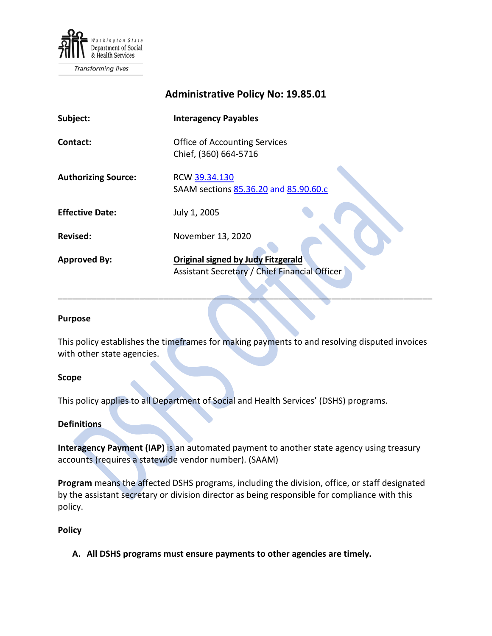

**Transforming lives** 

# **Administrative Policy No: 19.85.01**

| Subject:                   | <b>Interagency Payables</b>                                                                |
|----------------------------|--------------------------------------------------------------------------------------------|
| Contact:                   | <b>Office of Accounting Services</b><br>Chief, (360) 664-5716                              |
| <b>Authorizing Source:</b> | RCW 39.34.130<br>SAAM sections 85.36.20 and 85.90.60.c                                     |
| <b>Effective Date:</b>     | July 1, 2005                                                                               |
| <b>Revised:</b>            | November 13, 2020                                                                          |
| <b>Approved By:</b>        | <b>Original signed by Judy Fitzgerald</b><br>Assistant Secretary / Chief Financial Officer |

#### **Purpose**

This policy establishes the timeframes for making payments to and resolving disputed invoices with other state agencies.

\_\_\_\_\_\_\_\_\_\_\_\_\_\_\_\_\_\_\_\_\_\_\_\_\_\_\_\_\_\_\_\_\_\_\_\_\_\_\_\_\_\_\_\_\_\_\_\_\_\_\_\_\_\_\_\_\_\_\_\_\_\_\_\_\_\_\_\_\_\_\_\_\_\_\_\_\_\_

### **Scope**

This policy applies to all Department of Social and Health Services' (DSHS) programs.

## **Definitions**

**Interagency Payment (IAP)** is an automated payment to another state agency using treasury accounts (requires a statewide vendor number). (SAAM)

**Program** means the affected DSHS programs, including the division, office, or staff designated by the assistant secretary or division director as being responsible for compliance with this policy.

### **Policy**

**A. All DSHS programs must ensure payments to other agencies are timely.**